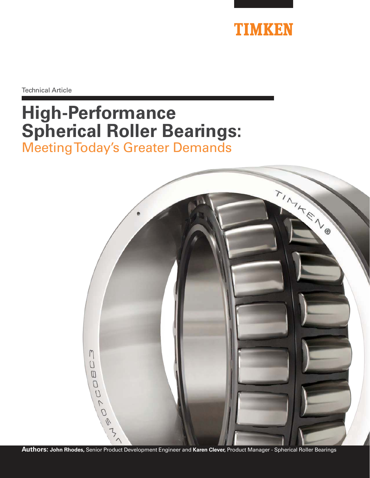

Technical Article

# **High-Performance Spherical Roller Bearings:** Meeting Today's Greater Demands

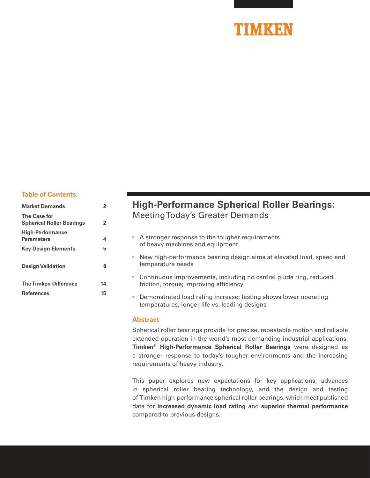#### **Table of Contents:**

| <b>Market Demands</b>                                   | 2  |
|---------------------------------------------------------|----|
| <b>The Case for</b><br><b>Spherical Roller Bearings</b> | 2  |
| <b>High-Performance</b><br><b>Parameters</b>            | 4  |
| <b>Key Design Elements</b>                              | 5  |
| <b>Design Validation</b>                                | 8  |
| <b>The Timken Difference</b>                            | 14 |
| <b>References</b>                                       | 15 |

# **High-Performance Spherical Roller Bearings:** Meeting Today's Greater Demands

- A stronger response to the tougher requirements of heavy machines and equipment
- New high-performance bearing design aims at elevated load, speed and temperature needs
- Continuous improvements, including no central guide ring, reduced friction, torque; improving efficiency
- Demonstrated load rating increase; testing shows lower operating temperatures, longer life vs. leading designs

#### **Abstract**

Spherical roller bearings provide for precise, repeatable motion and reliable extended operation in the world's most demanding industrial applications. **Timken® High-Performance Spherical Roller Bearings** were designed as a stronger response to today's tougher environments and the increasing requirements of heavy industry.

This paper explores new expectations for key applications, advances in spherical roller bearing technology, and the design and testing of Timken high-performance spherical roller bearings, which meet published data for **increased dynamic load rating** and **superior thermal performance** compared to previous designs.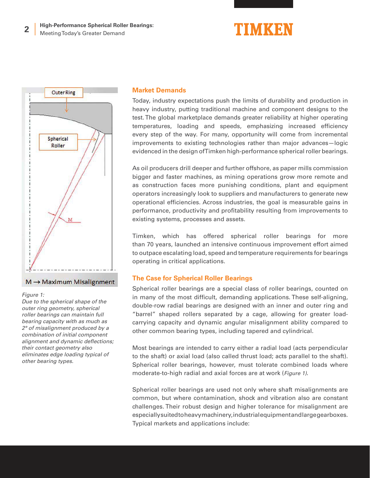

#### $M \rightarrow$  Maximum Misalignment

#### Figure 1:

Due to the spherical shape of the outer ring geometry, spherical roller bearings can maintain full bearing capacity with as much as 2° of misalignment produced by a combination of initial component alignment and dynamic deflections; their contact geometry also eliminates edge loading typical of other bearing types.

#### **Market Demands**

Today, industry expectations push the limits of durability and production in heavy industry, putting traditional machine and component designs to the test. The global marketplace demands greater reliability at higher operating temperatures, loading and speeds, emphasizing increased efficiency every step of the way. For many, opportunity will come from incremental improvements to existing technologies rather than major advances—logic evidenced in the design of Timken high-performance spherical roller bearings.

As oil producers drill deeper and further offshore, as paper mills commission bigger and faster machines, as mining operations grow more remote and as construction faces more punishing conditions, plant and equipment operators increasingly look to suppliers and manufacturers to generate new operational efficiencies. Across industries, the goal is measurable gains in performance, productivity and profitability resulting from improvements to existing systems, processes and assets.

Timken, which has offered spherical roller bearings for more than 70 years, launched an intensive continuous improvement effort aimed to outpace escalating load, speed and temperature requirements for bearings operating in critical applications.

# **The Case for Spherical Roller Bearings**

Spherical roller bearings are a special class of roller bearings, counted on in many of the most difficult, demanding applications. These self-aligning, double-row radial bearings are designed with an inner and outer ring and "barrel" shaped rollers separated by a cage, allowing for greater loadcarrying capacity and dynamic angular misalignment ability compared to other common bearing types, including tapered and cylindrical.

Most bearings are intended to carry either a radial load (acts perpendicular to the shaft) or axial load (also called thrust load; acts parallel to the shaft). Spherical roller bearings, however, must tolerate combined loads where moderate-to-high radial and axial forces are at work (Figure 1).

Spherical roller bearings are used not only where shaft misalignments are common, but where contamination, shock and vibration also are constant challenges. Their robust design and higher tolerance for misalignment are especially suited to heavy machinery, industrial equipment and large gearboxes. Typical markets and applications include: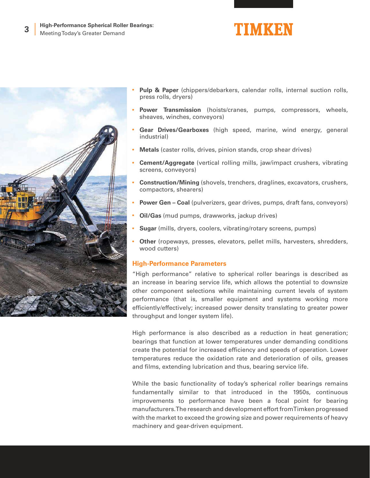



- **Power Transmission** (hoists/cranes, pumps, compressors, wheels, sheaves, winches, conveyors)
- **Gear Drives/Gearboxes** (high speed, marine, wind energy, general industrial)
- **Metals** (caster rolls, drives, pinion stands, crop shear drives)
- **Cement/Aggregate** (vertical rolling mills, jaw/impact crushers, vibrating screens, conveyors)
- **Construction/Mining** (shovels, trenchers, draglines, excavators, crushers, compactors, shearers)
- **Power Gen Coal** (pulverizers, gear drives, pumps, draft fans, conveyors)
- **Oil/Gas** (mud pumps, drawworks, jackup drives)
- **Sugar** (mills, dryers, coolers, vibrating/rotary screens, pumps)
- **Other** (ropeways, presses, elevators, pellet mills, harvesters, shredders, wood cutters)

#### **High-Performance Parameters**

"High performance" relative to spherical roller bearings is described as an increase in bearing service life, which allows the potential to downsize other component selections while maintaining current levels of system performance (that is, smaller equipment and systems working more efficiently/effectively; increased power density translating to greater power throughput and longer system life).

High performance is also described as a reduction in heat generation; bearings that function at lower temperatures under demanding conditions create the potential for increased efficiency and speeds of operation. Lower temperatures reduce the oxidation rate and deterioration of oils, greases and films, extending lubrication and thus, bearing service life.

While the basic functionality of today's spherical roller bearings remains fundamentally similar to that introduced in the 1950s, continuous improvements to performance have been a focal point for bearing manufacturers. The research and development effort from Timken progressed with the market to exceed the growing size and power requirements of heavy machinery and gear-driven equipment.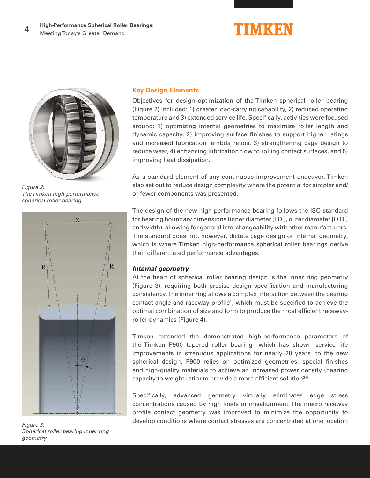

Figure 2: The Timken high-performance spherical roller bearing.



Figure 3: Spherical roller bearing inner ring geometry

### **Key Design Elements**

Objectives for design optimization of the Timken spherical roller bearing (Figure 2) included: 1) greater load-carrying capability, 2) reduced operating temperature and 3) extended service life. Specifically, activities were focused around: 1) optimizing internal geometries to maximize roller length and dynamic capacity, 2) improving surface finishes to support higher ratings and increased lubrication lambda ratios, 3) strengthening cage design to reduce wear, 4) enhancing lubrication flow to rolling contact surfaces, and 5) improving heat dissipation.

As a standard element of any continuous improvement endeavor, Timken also set out to reduce design complexity where the potential for simpler and/ or fewer components was presented.

The design of the new high-performance bearing follows the ISO standard for bearing boundary dimensions (inner diameter [I.D.], outer diameter [O.D.] and width), allowing for general interchangeability with other manufacturers. The standard does not, however, dictate cage design or internal geometry, which is where Timken high-performance spherical roller bearings derive their differentiated performance advantages.

# **Internal geometry**

At the heart of spherical roller bearing design is the inner ring geometry (Figure 3), requiring both precise design specification and manufacturing consistency. The inner ring allows a complex interaction between the bearing contact angle and raceway profile<sup>1</sup> , which must be specified to achieve the optimal combination of size and form to produce the most efficient racewayroller dynamics (Figure 4).

Timken extended the demonstrated high-performance parameters of the Timken P900 tapered roller bearing—which has shown service life improvements in strenuous applications for nearly 20 years<sup>2</sup> to the new spherical design. P900 relies on optimized geometries, special finishes and high-quality materials to achieve an increased power density (bearing capacity to weight ratio) to provide a more efficient solution $3-5$ .

Specifically, advanced geometry virtually eliminates edge stress concentrations caused by high loads or misalignment. The macro raceway profile contact geometry was improved to minimize the opportunity to develop conditions where contact stresses are concentrated at one location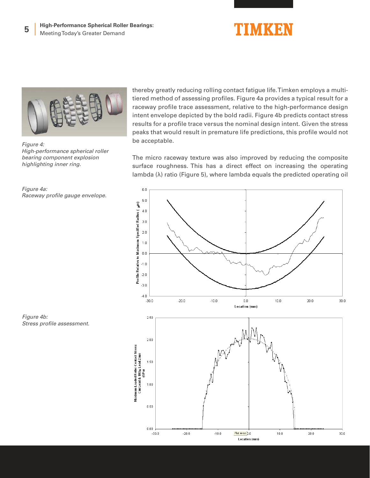



Figure 4: High-performance spherical roller bearing component explosion highlighting inner ring.



thereby greatly reducing rolling contact fatigue life. Timken employs a multitiered method of assessing profiles. Figure 4a provides a typical result for a raceway profile trace assessment, relative to the high-performance design intent envelope depicted by the bold radii. Figure 4b predicts contact stress results for a profile trace versus the nominal design intent. Given the stress peaks that would result in premature life predictions, this profile would not be acceptable.

The micro raceway texture was also improved by reducing the composite surface roughness. This has a direct effect on increasing the operating lambda (λ) ratio (Figure 5), where lambda equals the predicted operating oil



Figure 4b: Stress profile assessment.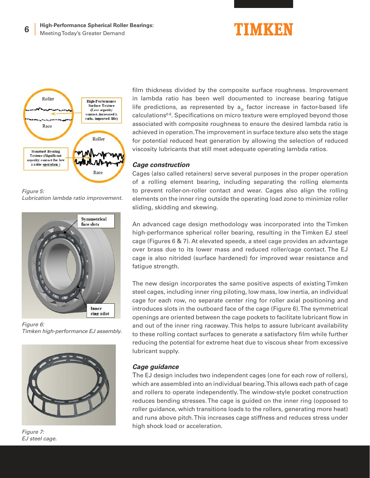![](_page_6_Picture_0.jpeg)

![](_page_6_Figure_2.jpeg)

Figure 5: Lubrication lambda ratio improvement.

![](_page_6_Picture_4.jpeg)

Figure 6: Timken high-performance EJ assembly.

![](_page_6_Picture_6.jpeg)

Figure 7: EJ steel cage.

film thickness divided by the composite surface roughness. Improvement in lambda ratio has been well documented to increase bearing fatigue life predictions, as represented by  $a_{2}$  factor increase in factor-based life calculations<sup>6-8</sup>. Specifications on micro texture were employed beyond those associated with composite roughness to ensure the desired lambda ratio is achieved in operation. The improvement in surface texture also sets the stage for potential reduced heat generation by allowing the selection of reduced viscosity lubricants that still meet adequate operating lambda ratios.

### **Cage construction**

Cages (also called retainers) serve several purposes in the proper operation of a rolling element bearing, including separating the rolling elements to prevent roller-on-roller contact and wear. Cages also align the rolling elements on the inner ring outside the operating load zone to minimize roller sliding, skidding and skewing.

An advanced cage design methodology was incorporated into the Timken high-performance spherical roller bearing, resulting in the Timken EJ steel cage (Figures 6 & 7). At elevated speeds, a steel cage provides an advantage over brass due to its lower mass and reduced roller/cage contact. The EJ cage is also nitrided (surface hardened) for improved wear resistance and fatigue strength.

The new design incorporates the same positive aspects of existing Timken steel cages, including inner ring piloting, low mass, low inertia, an individual cage for each row, no separate center ring for roller axial positioning and introduces slots in the outboard face of the cage (Figure 6). The symmetrical openings are oriented between the cage pockets to facilitate lubricant flow in and out of the inner ring raceway. This helps to assure lubricant availability to these rolling contact surfaces to generate a satisfactory film while further reducing the potential for extreme heat due to viscous shear from excessive lubricant supply.

# **Cage guidance**

The EJ design includes two independent cages (one for each row of rollers), which are assembled into an individual bearing. This allows each path of cage and rollers to operate independently. The window-style pocket construction reduces bending stresses. The cage is guided on the inner ring (opposed to roller guidance, which transitions loads to the rollers, generating more heat) and runs above pitch. This increases cage stiffness and reduces stress under high shock load or acceleration.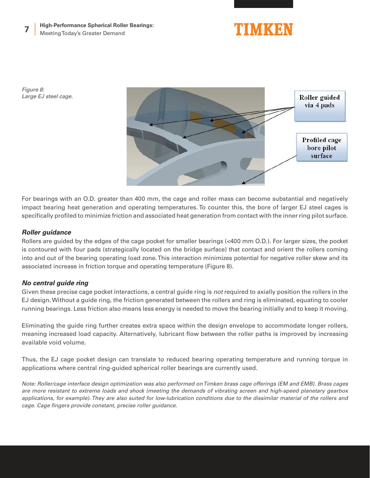![](_page_7_Picture_1.jpeg)

Figure 8: Large EJ steel cage.

![](_page_7_Picture_3.jpeg)

For bearings with an O.D. greater than 400 mm, the cage and roller mass can become substantial and negatively impact bearing heat generation and operating temperatures. To counter this, the bore of larger EJ steel cages is specifically profiled to minimize friction and associated heat generation from contact with the inner ring pilot surface.

# **Roller guidance**

Rollers are guided by the edges of the cage pocket for smaller bearings (<400 mm O.D.). For larger sizes, the pocket is contoured with four pads (strategically located on the bridge surface) that contact and orient the rollers coming into and out of the bearing operating load zone. This interaction minimizes potential for negative roller skew and its associated increase in friction torque and operating temperature (Figure 8).

# **No central guide ring**

Given these precise cage pocket interactions, a central guide ring is not required to axially position the rollers in the EJ design. Without a guide ring, the friction generated between the rollers and ring is eliminated, equating to cooler running bearings. Less friction also means less energy is needed to move the bearing initially and to keep it moving.

Eliminating the guide ring further creates extra space within the design envelope to accommodate longer rollers, meaning increased load capacity. Alternatively, lubricant flow between the roller paths is improved by increasing available void volume.

Thus, the EJ cage pocket design can translate to reduced bearing operating temperature and running torque in applications where central ring-guided spherical roller bearings are currently used.

Note: Roller/cage interface design optimization was also performed on Timken brass cage offerings (EM and EMB). Brass cages are more resistant to extreme loads and shock (meeting the demands of vibrating screen and high-speed planetary gearbox applications, for example). They are also suited for low-lubrication conditions due to the dissimilar material of the rollers and cage. Cage fingers provide constant, precise roller guidance.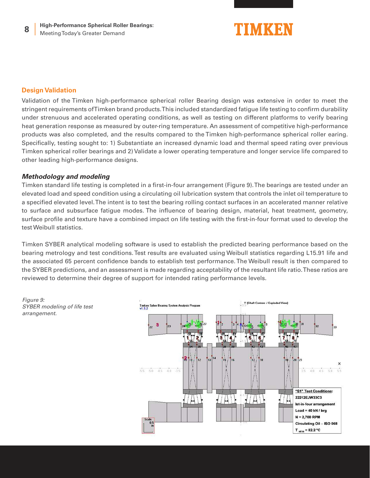![](_page_8_Picture_1.jpeg)

# **Design Validation**

Validation of the Timken high-performance spherical roller Bearing design was extensive in order to meet the stringent requirements of Timken brand products. This included standardized fatigue life testing to confirm durability under strenuous and accelerated operating conditions, as well as testing on different platforms to verify bearing heat generation response as measured by outer-ring temperature. An assessment of competitive high-performance products was also completed, and the results compared to the Timken high-performance spherical roller earing. Specifically, testing sought to: 1) Substantiate an increased dynamic load and thermal speed rating over previous Timken spherical roller bearings and 2) Validate a lower operating temperature and longer service life compared to other leading high-performance designs.

#### **Methodology and modeling**

Timken standard life testing is completed in a first-in-four arrangement (Figure 9). The bearings are tested under an elevated load and speed condition using a circulating oil lubrication system that controls the inlet oil temperature to a specified elevated level. The intent is to test the bearing rolling contact surfaces in an accelerated manner relative to surface and subsurface fatigue modes. The influence of bearing design, material, heat treatment, geometry, surface profile and texture have a combined impact on life testing with the first-in-four format used to develop the test Weibull statistics.

Timken SYBER analytical modeling software is used to establish the predicted bearing performance based on the bearing metrology and test conditions. Test results are evaluated using Weibull statistics regarding L15.91 life and the associated 65 percent confidence bands to establish test performance. The Weibull result is then compared to the SYBER predictions, and an assessment is made regarding acceptability of the resultant life ratio. These ratios are reviewed to determine their degree of support for intended rating performance levels.

Figure 9: SYBER modeling of life test arrangement.

![](_page_8_Figure_8.jpeg)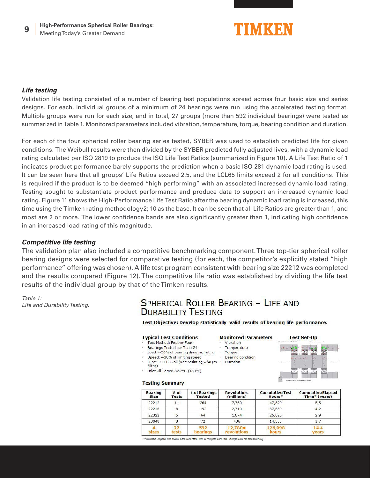![](_page_9_Picture_1.jpeg)

### **Life testing**

Validation life testing consisted of a number of bearing test populations spread across four basic size and series designs. For each, individual groups of a minimum of 24 bearings were run using the accelerated testing format. Multiple groups were run for each size, and in total, 27 groups (more than 592 individual bearings) were tested as summarized in Table 1. Monitored parameters included vibration, temperature, torque, bearing condition and duration.

For each of the four spherical roller bearing series tested, SYBER was used to establish predicted life for given conditions. The Weibull results were then divided by the SYBER predicted fully adjusted lives, with a dynamic load rating calculated per ISO 2819 to produce the ISO Life Test Ratios (summarized in Figure 10). A Life Test Ratio of 1 indicates product performance barely supports the prediction when a basic ISO 281 dynamic load rating is used. It can be seen here that all groups' Life Ratios exceed 2.5, and the LCL65 limits exceed 2 for all conditions. This is required if the product is to be deemed "high performing" with an associated increased dynamic load rating. Testing sought to substantiate product performance and produce data to support an increased dynamic load rating. Figure 11 shows the High-Performance Life Test Ratio after the bearing dynamic load rating is increased, this time using the Timken rating methodology2; 10 as the base. It can be seen that all Life Ratios are greater than 1, and most are 2 or more. The lower confidence bands are also significantly greater than 1, indicating high confidence in an increased load rating of this magnitude.

### **Competitive life testing**

The validation plan also included a competitive benchmarking component. Three top-tier spherical roller bearing designs were selected for comparative testing (for each, the competitor's explicitly stated "high performance" offering was chosen). A life test program consistent with bearing size 22212 was completed and the results compared (Figure 12). The competitive life ratio was established by dividing the life test results of the individual group by that of the Timken results.

Table 1: Life and Durability Testing.

# SPHERICAL ROLLER BEARING - LIFE AND **DURABILITY TESTING**

Test Objective: Develop statistically valid results of bearing life performance.

Vibration

Torque

Temperature

Bearing condition

**Monitored Parameters** 

#### **Typical Test Conditions**

- Test Method: First-in-Four
- Bearings Tested per Test: 24
- Load: ~30% of bearing dynamic rating Speed: ~30% of limiting speed
- Lube: ISO 068 oil (Recirculating w/40um · Duration
- Filter)
- Inlet Oil Temp: 82.2°C (180°F)

#### **Testing Summary**

| <b>Bearing</b><br><b>Size</b> | $#$ of<br>Tests | # of Bearings<br><b>Tested</b> | <b>Revolutions</b><br>(millions) | <b>Cumulative Test</b><br>Hours* | <b>Cumulative Elapsed</b><br>Time* (years) |
|-------------------------------|-----------------|--------------------------------|----------------------------------|----------------------------------|--------------------------------------------|
| 22212                         | 11              | 264                            | 7,760                            | 47,899                           | 5.5                                        |
| 22216                         | 8               | 192                            | 2,710                            | 37,639                           | 4.2                                        |
| 22322                         |                 | 64                             | 1,874                            | 26,025                           | 2.9                                        |
| 23048                         | 3.              | 72                             | 436                              | 14,535                           | 1.7                                        |
| sizes                         | tests           | 592<br>bearings                | 12.780m<br>revolutions           | 126,098<br>hours                 | 14.4<br>vears                              |

"Cumulative elapsed time shown is the sum of the time to complete each test. Multiple tests ran simultaneously.

**Test Set-Up** 

![](_page_9_Picture_22.jpeg)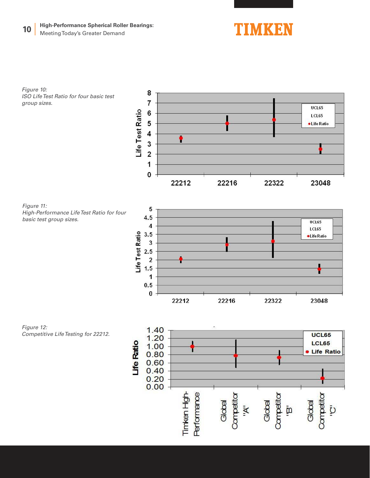#### **High-Performance Spherical Roller Bearings: 10** Meeting Today's Greater Demand

8 7

6

5

Life Test Ratio

![](_page_10_Picture_1.jpeg)

UCL65

**LCL65** 

·Life Ratio

Figure 10: ISO Life Test Ratio for four basic test group sizes.

![](_page_10_Figure_3.jpeg)

![](_page_10_Figure_4.jpeg)

Figure 12: Competitive Life Testing for 22212.

![](_page_10_Figure_6.jpeg)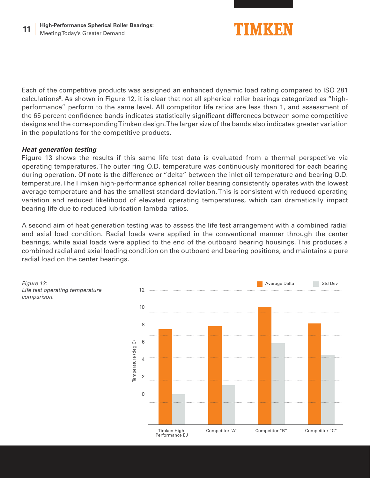![](_page_11_Picture_1.jpeg)

Each of the competitive products was assigned an enhanced dynamic load rating compared to ISO 281 calculations<sup>9</sup>. As shown in Figure 12, it is clear that not all spherical roller bearings categorized as "highperformance" perform to the same level. All competitor life ratios are less than 1, and assessment of the 65 percent confidence bands indicates statistically significant differences between some competitive designs and the corresponding Timken design. The larger size of the bands also indicates greater variation in the populations for the competitive products.

# **Heat generation testing**

Figure 13 shows the results if this same life test data is evaluated from a thermal perspective via operating temperatures. The outer ring O.D. temperature was continuously monitored for each bearing during operation. Of note is the difference or "delta" between the inlet oil temperature and bearing O.D. temperature. The Timken high-performance spherical roller bearing consistently operates with the lowest average temperature and has the smallest standard deviation. This is consistent with reduced operating variation and reduced likelihood of elevated operating temperatures, which can dramatically impact bearing life due to reduced lubrication lambda ratios.

A second aim of heat generation testing was to assess the life test arrangement with a combined radial and axial load condition. Radial loads were applied in the conventional manner through the center bearings, while axial loads were applied to the end of the outboard bearing housings. This produces a combined radial and axial loading condition on the outboard end bearing positions, and maintains a pure radial load on the center bearings.

![](_page_11_Figure_6.jpeg)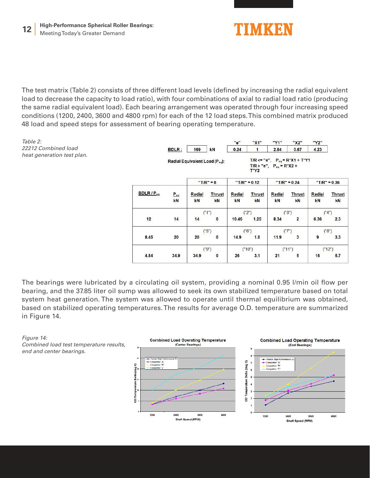![](_page_12_Picture_0.jpeg)

![](_page_12_Picture_1.jpeg)

The test matrix (Table 2) consists of three different load levels (defined by increasing the radial equivalent load to decrease the capacity to load ratio), with four combinations of axial to radial load ratio (producing the same radial equivalent load). Each bearing arrangement was operated through four increasing speed conditions (1200, 2400, 3600 and 4800 rpm) for each of the 12 load steps. This combined matrix produced 48 load and speed steps for assessment of bearing operating temperature.

![](_page_12_Figure_3.jpeg)

The bearings were lubricated by a circulating oil system, providing a nominal 0.95 l/min oil flow per bearing, and the 37.85 liter oil sump was allowed to seek its own stabilized temperature based on total system heat generation. The system was allowed to operate until thermal equilibrium was obtained, based on stabilized operating temperatures. The results for average O.D. temperature are summarized in Figure 14.

![](_page_12_Figure_5.jpeg)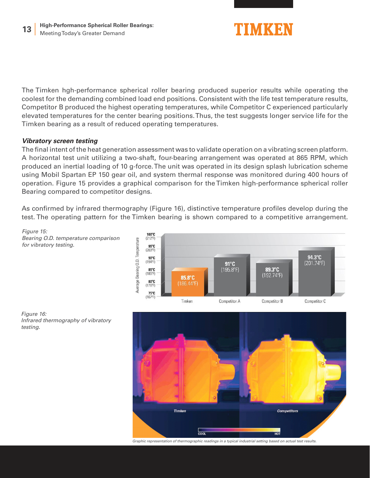![](_page_13_Picture_1.jpeg)

The Timken hgh-performance spherical roller bearing produced superior results while operating the coolest for the demanding combined load end positions. Consistent with the life test temperature results, Competitor B produced the highest operating temperatures, while Competitor C experienced particularly elevated temperatures for the center bearing positions. Thus, the test suggests longer service life for the Timken bearing as a result of reduced operating temperatures.

# **Vibratory screen testing**

The final intent of the heat generation assessment was to validate operation on a vibrating screen platform. A horizontal test unit utilizing a two-shaft, four-bearing arrangement was operated at 865 RPM, which produced an inertial loading of 10 g-force. The unit was operated in its design splash lubrication scheme using Mobil Spartan EP 150 gear oil, and system thermal response was monitored during 400 hours of operation. Figure 15 provides a graphical comparison for the Timken high-performance spherical roller Bearing compared to competitor designs.

As confirmed by infrared thermography (Figure 16), distinctive temperature profiles develop during the test. The operating pattern for the Timken bearing is shown compared to a competitive arrangement.

Figure 15: Bearing O.D. temperature comparison for vibratory testing.

![](_page_13_Figure_7.jpeg)

![](_page_13_Figure_8.jpeg)

![](_page_13_Figure_9.jpeg)

Graphic representation of thermographic readings in a typical industrial setting based on actual test results.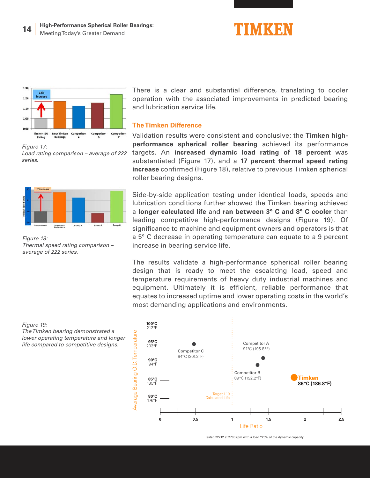![](_page_14_Picture_1.jpeg)

![](_page_14_Figure_2.jpeg)

Figure 17: Load rating comparison – average of 222 series.

![](_page_14_Figure_4.jpeg)

Figure 18: Thermal speed rating comparison – average of 222 series.

There is a clear and substantial difference, translating to cooler operation with the associated improvements in predicted bearing and lubrication service life.

#### **The Timken Difference**

Validation results were consistent and conclusive; the **Timken highperformance spherical roller bearing** achieved its performance targets. An **increased dynamic load rating of 18 percent** was substantiated (Figure 17), and a **17 percent thermal speed rating increase** confirmed (Figure 18), relative to previous Timken spherical roller bearing designs.

Side-by-side application testing under identical loads, speeds and lubrication conditions further showed the Timken bearing achieved a **longer calculated life** and **ran between 3° C and 8° C cooler** than leading competitive high-performance designs (Figure 19). Of significance to machine and equipment owners and operators is that a 5° C decrease in operating temperature can equate to a 9 percent increase in bearing service life.

The results validate a high-performance spherical roller bearing design that is ready to meet the escalating load, speed and temperature requirements of heavy duty industrial machines and equipment. Ultimately it is efficient, reliable performance that equates to increased uptime and lower operating costs in the world's most demanding applications and environments.

Figure 19: The Timken bearing demonstrated a lower operating temperature and longer life compared to competitive designs.

![](_page_14_Figure_12.jpeg)